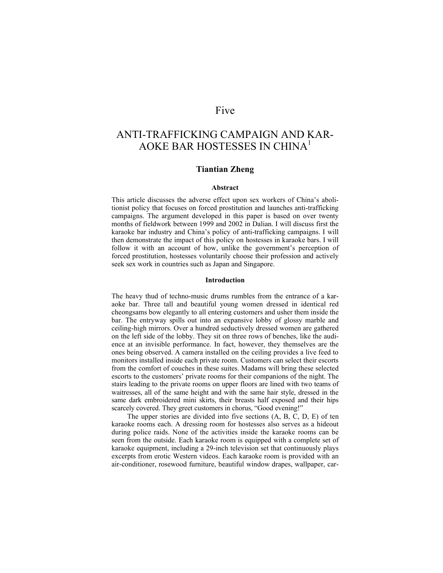# Five

# ANTI-TRAFFICKING CAMPAIGN AND KAR-AOKE BAR HOSTESSES IN CHINA<sup>1</sup>

## **Tiantian Zheng**

## **Abstract**

This article discusses the adverse effect upon sex workers of China's abolitionist policy that focuses on forced prostitution and launches anti-trafficking campaigns. The argument developed in this paper is based on over twenty months of fieldwork between 1999 and 2002 in Dalian. I will discuss first the karaoke bar industry and China's policy of anti-trafficking campaigns. I will then demonstrate the impact of this policy on hostesses in karaoke bars. I will follow it with an account of how, unlike the government's perception of forced prostitution, hostesses voluntarily choose their profession and actively seek sex work in countries such as Japan and Singapore.

#### **Introduction**

The heavy thud of techno-music drums rumbles from the entrance of a karaoke bar. Three tall and beautiful young women dressed in identical red cheongsams bow elegantly to all entering customers and usher them inside the bar. The entryway spills out into an expansive lobby of glossy marble and ceiling-high mirrors. Over a hundred seductively dressed women are gathered on the left side of the lobby. They sit on three rows of benches, like the audience at an invisible performance. In fact, however, they themselves are the ones being observed. A camera installed on the ceiling provides a live feed to monitors installed inside each private room. Customers can select their escorts from the comfort of couches in these suites. Madams will bring these selected escorts to the customers' private rooms for their companions of the night. The stairs leading to the private rooms on upper floors are lined with two teams of waitresses, all of the same height and with the same hair style, dressed in the same dark embroidered mini skirts, their breasts half exposed and their hips scarcely covered. They greet customers in chorus, "Good evening!"

The upper stories are divided into five sections (A, B, C, D, E) of ten karaoke rooms each. A dressing room for hostesses also serves as a hideout during police raids. None of the activities inside the karaoke rooms can be seen from the outside. Each karaoke room is equipped with a complete set of karaoke equipment, including a 29-inch television set that continuously plays excerpts from erotic Western videos. Each karaoke room is provided with an air-conditioner, rosewood furniture, beautiful window drapes, wallpaper, car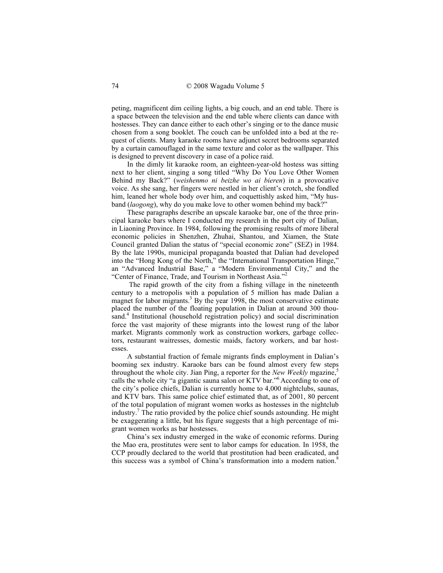peting, magnificent dim ceiling lights, a big couch, and an end table. There is a space between the television and the end table where clients can dance with hostesses. They can dance either to each other's singing or to the dance music chosen from a song booklet. The couch can be unfolded into a bed at the request of clients. Many karaoke rooms have adjunct secret bedrooms separated by a curtain camouflaged in the same texture and color as the wallpaper. This is designed to prevent discovery in case of a police raid.

In the dimly lit karaoke room, an eighteen-year-old hostess was sitting next to her client, singing a song titled "Why Do You Love Other Women Behind my Back?" (*weishenmo ni beizhe wo ai bieren*) in a provocative voice. As she sang, her fingers were nestled in her client's crotch, she fondled him, leaned her whole body over him, and coquettishly asked him, "My husband (*laogong*), why do you make love to other women behind my back?"

These paragraphs describe an upscale karaoke bar, one of the three principal karaoke bars where I conducted my research in the port city of Dalian, in Liaoning Province. In 1984, following the promising results of more liberal economic policies in Shenzhen, Zhuhai, Shantou, and Xiamen, the State Council granted Dalian the status of "special economic zone" (SEZ) in 1984. By the late 1990s, municipal propaganda boasted that Dalian had developed into the "Hong Kong of the North," the "International Transportation Hinge," an "Advanced Industrial Base," a "Modern Environmental City," and the "Center of Finance, Trade, and Tourism in Northeast Asia."<sup>2</sup>

The rapid growth of the city from a fishing village in the nineteenth century to a metropolis with a population of 5 million has made Dalian a magnet for labor migrants.<sup>3</sup> By the year 1998, the most conservative estimate placed the number of the floating population in Dalian at around 300 thousand. <sup>4</sup> Institutional (household registration policy) and social discrimination force the vast majority of these migrants into the lowest rung of the labor market. Migrants commonly work as construction workers, garbage collectors, restaurant waitresses, domestic maids, factory workers, and bar hostesses.

A substantial fraction of female migrants finds employment in Dalian's booming sex industry. Karaoke bars can be found almost every few steps throughout the whole city. Jian Ping, a reporter for the *New Weekly* mgazine, 5 calls the whole city "a gigantic sauna salon or KTV bar." <sup>6</sup> According to one of the city's police chiefs, Dalian is currently home to 4,000 nightclubs, saunas, and KTV bars. This same police chief estimated that, as of 2001, 80 percent of the total population of migrant women works as hostesses in the nightclub industry. <sup>7</sup> The ratio provided by the police chief sounds astounding. He might be exaggerating a little, but his figure suggests that a high percentage of migrant women works as bar hostesses.

China's sex industry emerged in the wake of economic reforms. During the Mao era, prostitutes were sent to labor camps for education. In 1958, the CCP proudly declared to the world that prostitution had been eradicated, and this success was a symbol of China's transformation into a modern nation.<sup>8</sup>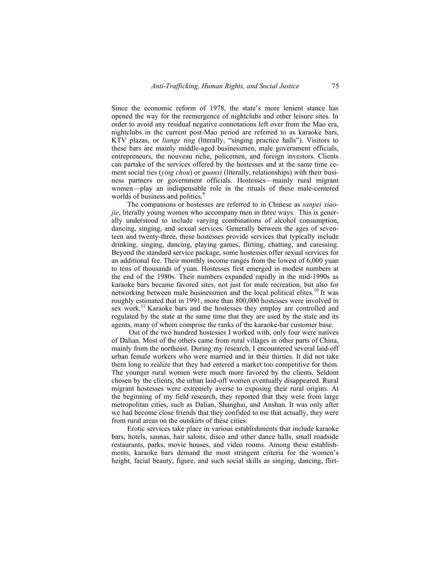Since the economic reform of 1978, the state's more lenient stance has opened the way for the reemergence of nightclubs and other leisure sites. In order to avoid any residual negative connotations left over from the Mao era, nightclubs in the current post-Mao period are referred to as karaoke bars, KTV plazas, or *liange ting* (literally, "singing practice halls"). Visitors to these bars are mainly middle-aged businessmen, male government officials, entrepreneurs, the nouveau riche, policemen, and foreign investors. Clients can partake of the services offered by the hostesses and at the same time cement social ties (*ying chou*) or *guanxi* (literally, relationships) with their business partners or government officials. Hostesses—mainly rural migrant women—play an indispensable role in the rituals of these male-centered worlds of business and politics.<sup>9</sup>

The companions or hostesses are referred to in Chinese as *sanpei xiaojie*, literally young women who accompany men in three ways. This is generally understood to include varying combinations of alcohol consumption, dancing, singing, and sexual services. Generally between the ages of seventeen and twenty-three, these hostesses provide services that typically include drinking, singing, dancing, playing games, flirting, chatting, and caressing. Beyond the standard service package, some hostesses offer sexual services for an additional fee. Their monthly income ranges from the lowest of 6,000 yuan to tens of thousands of yuan. Hostesses first emerged in modest numbers at the end of the 1980s. Their numbers expanded rapidly in the mid-1990s as karaoke bars became favored sites, not just for male recreation, but also for networking between male businessmen and the local political elites. <sup>10</sup> It was roughly estimated that in 1991, more than 800,000 hostesses were involved in sex work.<sup>11</sup> Karaoke bars and the hostesses they employ are controlled and regulated by the state at the same time that they are used by the state and its agents, many of whom comprise the ranks of the karaoke-bar customer base.

Out of the two hundred hostesses I worked with, only four were natives of Dalian. Most of the others came from rural villages in other parts of China, mainly from the northeast. During my research, I encountered several laid-off urban female workers who were married and in their thirties. It did not take them long to realize that they had entered a market too competitive for them. The younger rural women were much more favored by the clients. Seldom chosen by the clients, the urban laid-off women eventually disappeared. Rural migrant hostesses were extremely averse to exposing their rural origins. At the beginning of my field research, they reported that they were from large metropolitan cities, such as Dalian, Shanghai, and Anshan. It was only after we had become close friends that they confided to me that actually, they were from rural areas on the outskirts of these cities.

Erotic services take place in various establishments that include karaoke bars, hotels, saunas, hair salons, disco and other dance halls, small roadside restaurants, parks, movie houses, and video rooms. Among these establishments, karaoke bars demand the most stringent criteria for the women's height, facial beauty, figure, and such social skills as singing, dancing, flirt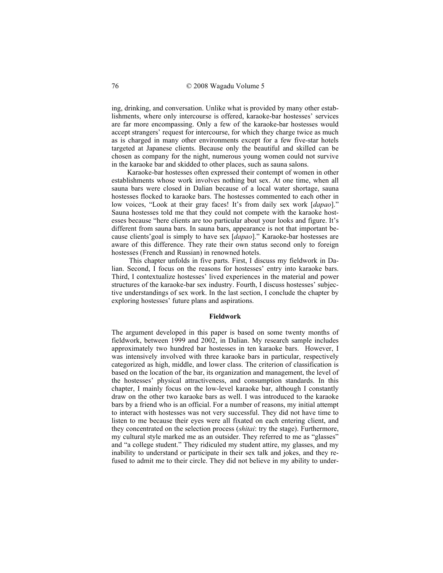ing, drinking, and conversation. Unlike what is provided by many other establishments, where only intercourse is offered, karaoke-bar hostesses' services are far more encompassing. Only a few of the karaoke-bar hostesses would accept strangers' request for intercourse, for which they charge twice as much as is charged in many other environments except for a few five-star hotels targeted at Japanese clients. Because only the beautiful and skilled can be chosen as company for the night, numerous young women could not survive in the karaoke bar and skidded to other places, such as sauna salons.

Karaoke-bar hostesses often expressed their contempt of women in other establishments whose work involves nothing but sex. At one time, when all sauna bars were closed in Dalian because of a local water shortage, sauna hostesses flocked to karaoke bars. The hostesses commented to each other in low voices, "Look at their gray faces! It's from daily sex work [*dapao*]." Sauna hostesses told me that they could not compete with the karaoke hostesses because "here clients are too particular about your looks and figure. It's different from sauna bars. In sauna bars, appearance is not that important because clients'goal is simply to have sex [*dapao*]." Karaoke-bar hostesses are aware of this difference. They rate their own status second only to foreign hostesses (French and Russian) in renowned hotels.

This chapter unfolds in five parts. First, I discuss my fieldwork in Dalian. Second, I focus on the reasons for hostesses' entry into karaoke bars. Third, I contextualize hostesses' lived experiences in the material and power structures of the karaoke-bar sex industry. Fourth, I discuss hostesses' subjective understandings of sex work. In the last section, I conclude the chapter by exploring hostesses' future plans and aspirations.

#### **Fieldwork**

The argument developed in this paper is based on some twenty months of fieldwork, between 1999 and 2002, in Dalian. My research sample includes approximately two hundred bar hostesses in ten karaoke bars. However, I was intensively involved with three karaoke bars in particular, respectively categorized as high, middle, and lower class. The criterion of classification is based on the location of the bar, its organization and management, the level of the hostesses' physical attractiveness, and consumption standards. In this chapter, I mainly focus on the low-level karaoke bar, although I constantly draw on the other two karaoke bars as well. I was introduced to the karaoke bars by a friend who is an official. For a number of reasons, my initial attempt to interact with hostesses was not very successful. They did not have time to listen to me because their eyes were all fixated on each entering client, and they concentrated on the selection process (*shitai*: try the stage). Furthermore, my cultural style marked me as an outsider. They referred to me as "glasses" and "a college student." They ridiculed my student attire, my glasses, and my inability to understand or participate in their sex talk and jokes, and they refused to admit me to their circle. They did not believe in my ability to under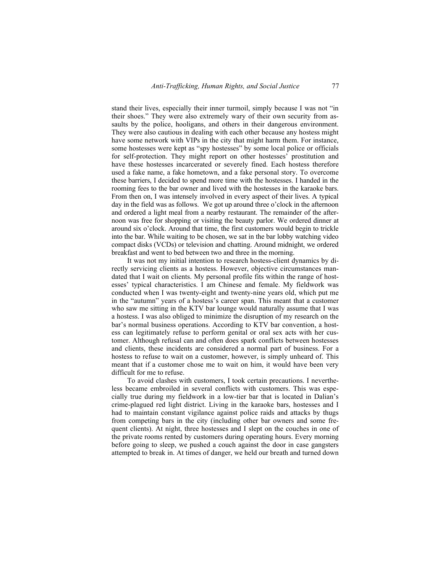stand their lives, especially their inner turmoil, simply because I was not "in their shoes." They were also extremely wary of their own security from assaults by the police, hooligans, and others in their dangerous environment. They were also cautious in dealing with each other because any hostess might have some network with VIPs in the city that might harm them. For instance, some hostesses were kept as "spy hostesses" by some local police or officials for self-protection. They might report on other hostesses' prostitution and have these hostesses incarcerated or severely fined. Each hostess therefore used a fake name, a fake hometown, and a fake personal story. To overcome these barriers, I decided to spend more time with the hostesses. I handed in the rooming fees to the bar owner and lived with the hostesses in the karaoke bars. From then on, I was intensely involved in every aspect of their lives. A typical day in the field was as follows. We got up around three o'clock in the afternoon and ordered a light meal from a nearby restaurant. The remainder of the afternoon was free for shopping or visiting the beauty parlor. We ordered dinner at around six o'clock. Around that time, the first customers would begin to trickle into the bar. While waiting to be chosen, we sat in the bar lobby watching video compact disks (VCDs) or television and chatting. Around midnight, we ordered breakfast and went to bed between two and three in the morning.

It was not my initial intention to research hostess-client dynamics by directly servicing clients as a hostess. However, objective circumstances mandated that I wait on clients. My personal profile fits within the range of hostesses' typical characteristics. I am Chinese and female. My fieldwork was conducted when I was twenty-eight and twenty-nine years old, which put me in the "autumn" years of a hostess's career span. This meant that a customer who saw me sitting in the KTV bar lounge would naturally assume that I was a hostess. I was also obliged to minimize the disruption of my research on the bar's normal business operations. According to KTV bar convention, a hostess can legitimately refuse to perform genital or oral sex acts with her customer. Although refusal can and often does spark conflicts between hostesses and clients, these incidents are considered a normal part of business. For a hostess to refuse to wait on a customer, however, is simply unheard of. This meant that if a customer chose me to wait on him, it would have been very difficult for me to refuse.

To avoid clashes with customers, I took certain precautions. I nevertheless became embroiled in several conflicts with customers. This was especially true during my fieldwork in a low-tier bar that is located in Dalian's crime-plagued red light district. Living in the karaoke bars, hostesses and I had to maintain constant vigilance against police raids and attacks by thugs from competing bars in the city (including other bar owners and some frequent clients). At night, three hostesses and I slept on the couches in one of the private rooms rented by customers during operating hours. Every morning before going to sleep, we pushed a couch against the door in case gangsters attempted to break in. At times of danger, we held our breath and turned down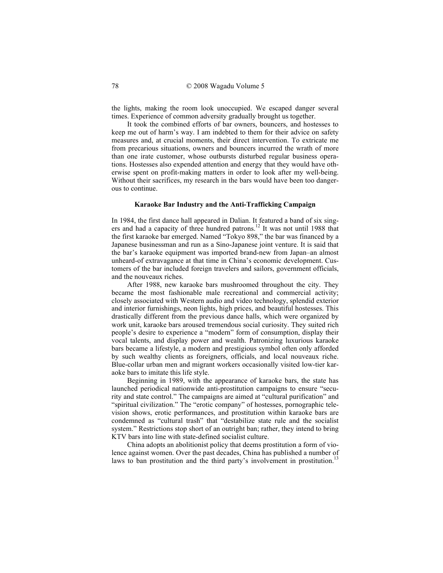the lights, making the room look unoccupied. We escaped danger several times. Experience of common adversity gradually brought us together.

It took the combined efforts of bar owners, bouncers, and hostesses to keep me out of harm's way. I am indebted to them for their advice on safety measures and, at crucial moments, their direct intervention. To extricate me from precarious situations, owners and bouncers incurred the wrath of more than one irate customer, whose outbursts disturbed regular business operations. Hostesses also expended attention and energy that they would have otherwise spent on profit-making matters in order to look after my well-being. Without their sacrifices, my research in the bars would have been too dangerous to continue.

#### **Karaoke Bar Industry and the Anti-Trafficking Campaign**

In 1984, the first dance hall appeared in Dalian. It featured a band of six singers and had a capacity of three hundred patrons. <sup>12</sup> It was not until 1988 that the first karaoke bar emerged. Named "Tokyo 898," the bar was financed by a Japanese businessman and run as a Sino-Japanese joint venture. It is said that the bar's karaoke equipment was imported brand-new from Japan–an almost unheard-of extravagance at that time in China's economic development. Customers of the bar included foreign travelers and sailors, government officials, and the nouveaux riches.

After 1988, new karaoke bars mushroomed throughout the city. They became the most fashionable male recreational and commercial activity; closely associated with Western audio and video technology, splendid exterior and interior furnishings, neon lights, high prices, and beautiful hostesses. This drastically different from the previous dance halls, which were organized by work unit, karaoke bars aroused tremendous social curiosity. They suited rich people's desire to experience a "modern" form of consumption, display their vocal talents, and display power and wealth. Patronizing luxurious karaoke bars became a lifestyle, a modern and prestigious symbol often only afforded by such wealthy clients as foreigners, officials, and local nouveaux riche. Blue-collar urban men and migrant workers occasionally visited low-tier karaoke bars to imitate this life style.

Beginning in 1989, with the appearance of karaoke bars, the state has launched periodical nationwide anti-prostitution campaigns to ensure "security and state control." The campaigns are aimed at "cultural purification" and "spiritual civilization." The "erotic company" of hostesses, pornographic television shows, erotic performances, and prostitution within karaoke bars are condemned as "cultural trash" that "destabilize state rule and the socialist system." Restrictions stop short of an outright ban; rather, they intend to bring KTV bars into line with state-defined socialist culture.

China adopts an abolitionist policy that deems prostitution a form of violence against women. Over the past decades, China has published a number of laws to ban prostitution and the third party's involvement in prostitution.<sup>13</sup>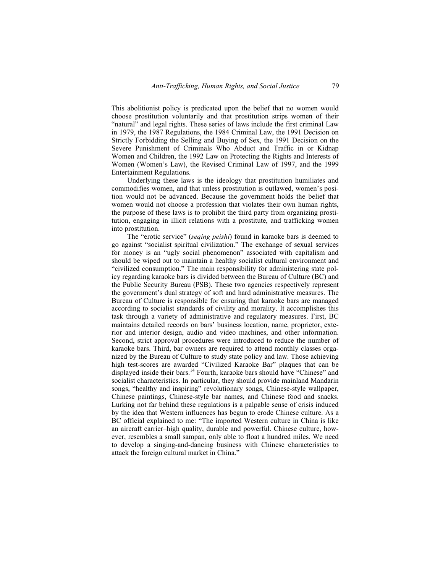This abolitionist policy is predicated upon the belief that no women would choose prostitution voluntarily and that prostitution strips women of their "natural" and legal rights. These series of laws include the first criminal Law in 1979, the 1987 Regulations, the 1984 Criminal Law, the 1991 Decision on Strictly Forbidding the Selling and Buying of Sex, the 1991 Decision on the Severe Punishment of Criminals Who Abduct and Traffic in or Kidnap Women and Children, the 1992 Law on Protecting the Rights and Interests of Women (Women's Law), the Revised Criminal Law of 1997, and the 1999 Entertainment Regulations.

Underlying these laws is the ideology that prostitution humiliates and commodifies women, and that unless prostitution is outlawed, women's position would not be advanced. Because the government holds the belief that women would not choose a profession that violates their own human rights, the purpose of these laws is to prohibit the third party from organizing prostitution, engaging in illicit relations with a prostitute, and trafficking women into prostitution.

The "erotic service" (*seqing peishi*) found in karaoke bars is deemed to go against "socialist spiritual civilization." The exchange of sexual services for money is an "ugly social phenomenon" associated with capitalism and should be wiped out to maintain a healthy socialist cultural environment and "civilized consumption." The main responsibility for administering state policy regarding karaoke bars is divided between the Bureau of Culture (BC) and the Public Security Bureau (PSB). These two agencies respectively represent the government's dual strategy of soft and hard administrative measures. The Bureau of Culture is responsible for ensuring that karaoke bars are managed according to socialist standards of civility and morality. It accomplishes this task through a variety of administrative and regulatory measures. First, BC maintains detailed records on bars' business location, name, proprietor, exterior and interior design, audio and video machines, and other information. Second, strict approval procedures were introduced to reduce the number of karaoke bars. Third, bar owners are required to attend monthly classes organized by the Bureau of Culture to study state policy and law. Those achieving high test-scores are awarded "Civilized Karaoke Bar" plaques that can be displayed inside their bars.<sup>14</sup> Fourth, karaoke bars should have "Chinese" and socialist characteristics. In particular, they should provide mainland Mandarin songs, "healthy and inspiring" revolutionary songs, Chinese-style wallpaper, Chinese paintings, Chinese-style bar names, and Chinese food and snacks. Lurking not far behind these regulations is a palpable sense of crisis induced by the idea that Western influences has begun to erode Chinese culture. As a BC official explained to me: "The imported Western culture in China is like an aircraft carrier–high quality, durable and powerful. Chinese culture, however, resembles a small sampan, only able to float a hundred miles. We need to develop a singing-and-dancing business with Chinese characteristics to attack the foreign cultural market in China."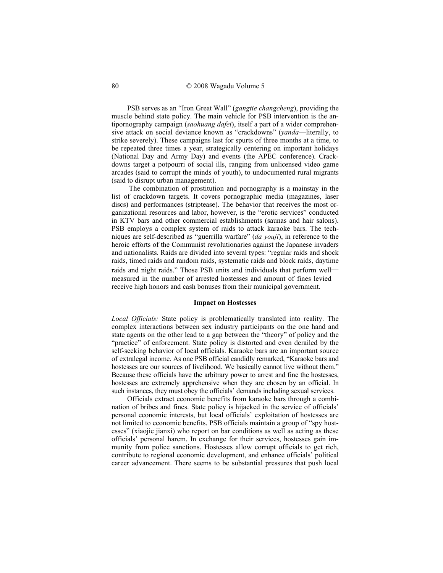PSB serves as an "Iron Great Wall" (*gangtie changcheng*), providing the muscle behind state policy. The main vehicle for PSB intervention is the antipornography campaign (*saohuang dafei*), itself a part of a wider comprehensive attack on social deviance known as "crackdowns" (*yanda*—literally, to strike severely). These campaigns last for spurts of three months at a time, to be repeated three times a year, strategically centering on important holidays (National Day and Army Day) and events (the APEC conference). Crackdowns target a potpourri of social ills, ranging from unlicensed video game arcades (said to corrupt the minds of youth), to undocumented rural migrants (said to disrupt urban management).

The combination of prostitution and pornography is a mainstay in the list of crackdown targets. It covers pornographic media (magazines, laser discs) and performances (striptease). The behavior that receives the most organizational resources and labor, however, is the "erotic services" conducted in KTV bars and other commercial establishments (saunas and hair salons). PSB employs a complex system of raids to attack karaoke bars. The techniques are self-described as "guerrilla warfare" (*da youji*), in reference to the heroic efforts of the Communist revolutionaries against the Japanese invaders and nationalists. Raids are divided into several types: "regular raids and shock raids, timed raids and random raids, systematic raids and block raids, daytime raids and night raids." Those PSB units and individuals that perform well measured in the number of arrested hostesses and amount of fines levied receive high honors and cash bonuses from their municipal government.

### **Impact on Hostesses**

*Local Officials:* State policy is problematically translated into reality. The complex interactions between sex industry participants on the one hand and state agents on the other lead to a gap between the "theory" of policy and the "practice" of enforcement. State policy is distorted and even derailed by the self-seeking behavior of local officials. Karaoke bars are an important source of extralegal income. As one PSB official candidly remarked, "Karaoke bars and hostesses are our sources of livelihood. We basically cannot live without them." Because these officials have the arbitrary power to arrest and fine the hostesses, hostesses are extremely apprehensive when they are chosen by an official. In such instances, they must obey the officials' demands including sexual services.

Officials extract economic benefits from karaoke bars through a combination of bribes and fines. State policy is hijacked in the service of officials' personal economic interests, but local officials' exploitation of hostesses are not limited to economic benefits. PSB officials maintain a group of "spy hostesses" (xiaojie jianxi) who report on bar conditions as well as acting as these officials' personal harem. In exchange for their services, hostesses gain immunity from police sanctions. Hostesses allow corrupt officials to get rich, contribute to regional economic development, and enhance officials' political career advancement. There seems to be substantial pressures that push local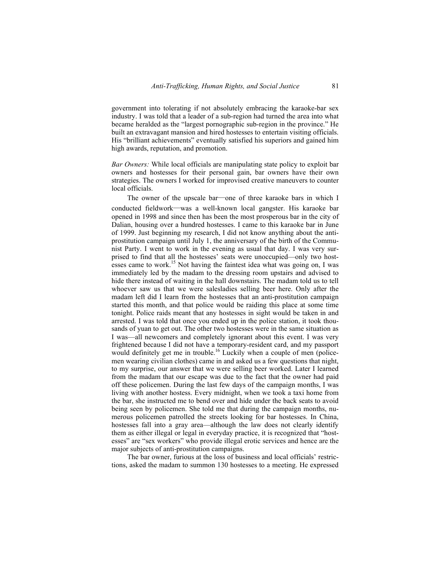government into tolerating if not absolutely embracing the karaoke-bar sex industry. I was told that a leader of a sub-region had turned the area into what became heralded as the "largest pornographic sub-region in the province." He built an extravagant mansion and hired hostesses to entertain visiting officials. His "brilliant achievements" eventually satisfied his superiors and gained him high awards, reputation, and promotion.

*Bar Owners:* While local officials are manipulating state policy to exploit bar owners and hostesses for their personal gain, bar owners have their own strategies. The owners I worked for improvised creative maneuvers to counter local officials.

The owner of the upscale bar—one of three karaoke bars in which I conducted fieldwork—was a well-known local gangster. His karaoke bar opened in 1998 and since then has been the most prosperous bar in the city of Dalian, housing over a hundred hostesses. I came to this karaoke bar in June of 1999. Just beginning my research, I did not know anything about the antiprostitution campaign until July 1, the anniversary of the birth of the Communist Party. I went to work in the evening as usual that day. I was very surprised to find that all the hostesses' seats were unoccupied—only two hostesses came to work.<sup>15</sup> Not having the faintest idea what was going on, I was immediately led by the madam to the dressing room upstairs and advised to hide there instead of waiting in the hall downstairs. The madam told us to tell whoever saw us that we were salesladies selling beer here. Only after the madam left did I learn from the hostesses that an anti-prostitution campaign started this month, and that police would be raiding this place at some time tonight. Police raids meant that any hostesses in sight would be taken in and arrested. I was told that once you ended up in the police station, it took thousands of yuan to get out. The other two hostesses were in the same situation as I was—all newcomers and completely ignorant about this event. I was very frightened because I did not have a temporary-resident card, and my passport would definitely get me in trouble.<sup>16</sup> Luckily when a couple of men (policemen wearing civilian clothes) came in and asked us a few questions that night, to my surprise, our answer that we were selling beer worked. Later I learned from the madam that our escape was due to the fact that the owner had paid off these policemen. During the last few days of the campaign months, I was living with another hostess. Every midnight, when we took a taxi home from the bar, she instructed me to bend over and hide under the back seats to avoid being seen by policemen. She told me that during the campaign months, numerous policemen patrolled the streets looking for bar hostesses. In China, hostesses fall into a gray area—although the law does not clearly identify them as either illegal or legal in everyday practice, it is recognized that "hostesses" are "sex workers" who provide illegal erotic services and hence are the major subjects of anti-prostitution campaigns.

The bar owner, furious at the loss of business and local officials' restrictions, asked the madam to summon 130 hostesses to a meeting. He expressed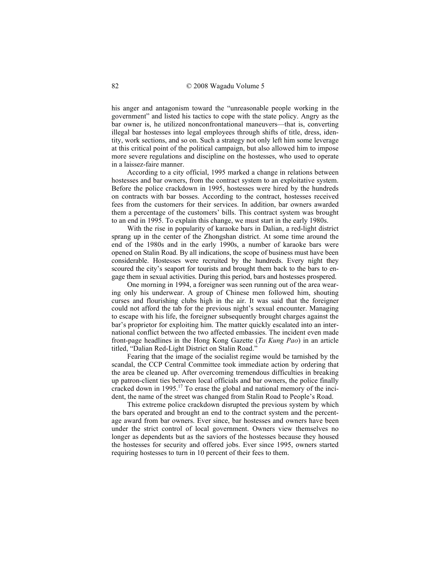his anger and antagonism toward the "unreasonable people working in the government" and listed his tactics to cope with the state policy. Angry as the bar owner is, he utilized nonconfrontational maneuvers—that is, converting illegal bar hostesses into legal employees through shifts of title, dress, identity, work sections, and so on. Such a strategy not only left him some leverage at this critical point of the political campaign, but also allowed him to impose more severe regulations and discipline on the hostesses, who used to operate in a laissez-faire manner.

According to a city official, 1995 marked a change in relations between hostesses and bar owners, from the contract system to an exploitative system. Before the police crackdown in 1995, hostesses were hired by the hundreds on contracts with bar bosses. According to the contract, hostesses received fees from the customers for their services. In addition, bar owners awarded them a percentage of the customers' bills. This contract system was brought to an end in 1995. To explain this change, we must start in the early 1980s.

With the rise in popularity of karaoke bars in Dalian, a red-light district sprang up in the center of the Zhongshan district. At some time around the end of the 1980s and in the early 1990s, a number of karaoke bars were opened on Stalin Road. By all indications, the scope of business must have been considerable. Hostesses were recruited by the hundreds. Every night they scoured the city's seaport for tourists and brought them back to the bars to engage them in sexual activities. During this period, bars and hostesses prospered.

One morning in 1994, a foreigner was seen running out of the area wearing only his underwear. A group of Chinese men followed him, shouting curses and flourishing clubs high in the air. It was said that the foreigner could not afford the tab for the previous night's sexual encounter. Managing to escape with his life, the foreigner subsequently brought charges against the bar's proprietor for exploiting him. The matter quickly escalated into an international conflict between the two affected embassies. The incident even made front-page headlines in the Hong Kong Gazette (*Ta Kung Pao*) in an article titled, "Dalian Red-Light District on Stalin Road."

Fearing that the image of the socialist regime would be tarnished by the scandal, the CCP Central Committee took immediate action by ordering that the area be cleaned up. After overcoming tremendous difficulties in breaking up patron-client ties between local officials and bar owners, the police finally cracked down in 1995.<sup>17</sup> To erase the global and national memory of the incident, the name of the street was changed from Stalin Road to People's Road.

This extreme police crackdown disrupted the previous system by which the bars operated and brought an end to the contract system and the percentage award from bar owners. Ever since, bar hostesses and owners have been under the strict control of local government. Owners view themselves no longer as dependents but as the saviors of the hostesses because they housed the hostesses for security and offered jobs. Ever since 1995, owners started requiring hostesses to turn in 10 percent of their fees to them.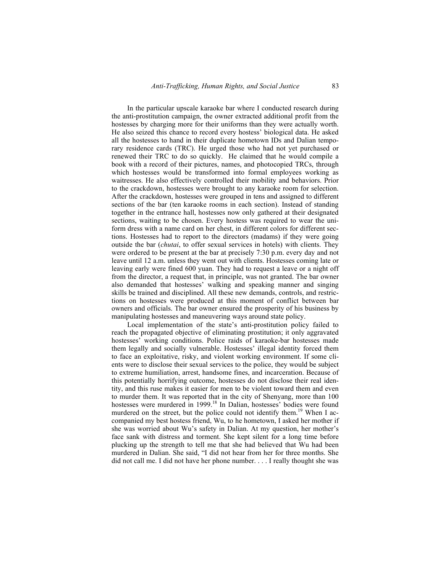In the particular upscale karaoke bar where I conducted research during the anti-prostitution campaign, the owner extracted additional profit from the hostesses by charging more for their uniforms than they were actually worth. He also seized this chance to record every hostess' biological data. He asked all the hostesses to hand in their duplicate hometown IDs and Dalian temporary residence cards (TRC). He urged those who had not yet purchased or renewed their TRC to do so quickly. He claimed that he would compile a book with a record of their pictures, names, and photocopied TRCs, through which hostesses would be transformed into formal employees working as waitresses. He also effectively controlled their mobility and behaviors. Prior to the crackdown, hostesses were brought to any karaoke room for selection. After the crackdown, hostesses were grouped in tens and assigned to different sections of the bar (ten karaoke rooms in each section). Instead of standing together in the entrance hall, hostesses now only gathered at their designated sections, waiting to be chosen. Every hostess was required to wear the uniform dress with a name card on her chest, in different colors for different sections. Hostesses had to report to the directors (madams) if they were going outside the bar (*chutai*, to offer sexual services in hotels) with clients. They were ordered to be present at the bar at precisely 7:30 p.m. every day and not leave until 12 a.m. unless they went out with clients. Hostesses coming late or leaving early were fined 600 yuan. They had to request a leave or a night off from the director, a request that, in principle, was not granted. The bar owner also demanded that hostesses' walking and speaking manner and singing skills be trained and disciplined. All these new demands, controls, and restrictions on hostesses were produced at this moment of conflict between bar owners and officials. The bar owner ensured the prosperity of his business by manipulating hostesses and maneuvering ways around state policy.

Local implementation of the state's anti-prostitution policy failed to reach the propagated objective of eliminating prostitution; it only aggravated hostesses' working conditions. Police raids of karaoke-bar hostesses made them legally and socially vulnerable. Hostesses' illegal identity forced them to face an exploitative, risky, and violent working environment. If some clients were to disclose their sexual services to the police, they would be subject to extreme humiliation, arrest, handsome fines, and incarceration. Because of this potentially horrifying outcome, hostesses do not disclose their real identity, and this ruse makes it easier for men to be violent toward them and even to murder them. It was reported that in the city of Shenyang, more than 100 hostesses were murdered in 1999.<sup>18</sup> In Dalian, hostesses' bodies were found murdered on the street, but the police could not identify them.<sup>19</sup> When I accompanied my best hostess friend, Wu, to he hometown, I asked her mother if she was worried about Wu's safety in Dalian. At my question, her mother's face sank with distress and torment. She kept silent for a long time before plucking up the strength to tell me that she had believed that Wu had been murdered in Dalian. She said, "I did not hear from her for three months. She did not call me. I did not have her phone number. . . . I really thought she was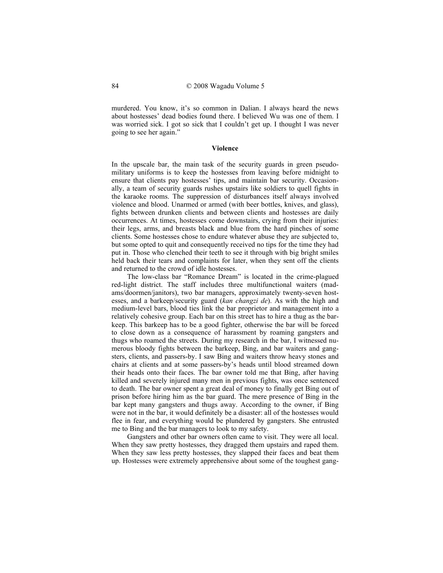murdered. You know, it's so common in Dalian. I always heard the news about hostesses' dead bodies found there. I believed Wu was one of them. I was worried sick. I got so sick that I couldn't get up. I thought I was never going to see her again."

#### **Violence**

In the upscale bar, the main task of the security guards in green pseudomilitary uniforms is to keep the hostesses from leaving before midnight to ensure that clients pay hostesses' tips, and maintain bar security. Occasionally, a team of security guards rushes upstairs like soldiers to quell fights in the karaoke rooms. The suppression of disturbances itself always involved violence and blood. Unarmed or armed (with beer bottles, knives, and glass), fights between drunken clients and between clients and hostesses are daily occurrences. At times, hostesses come downstairs, crying from their injuries: their legs, arms, and breasts black and blue from the hard pinches of some clients. Some hostesses chose to endure whatever abuse they are subjected to, but some opted to quit and consequently received no tips for the time they had put in. Those who clenched their teeth to see it through with big bright smiles held back their tears and complaints for later, when they sent off the clients and returned to the crowd of idle hostesses.

The low-class bar "Romance Dream" is located in the crime-plagued red-light district. The staff includes three multifunctional waiters (madams/doormen/janitors), two bar managers, approximately twenty-seven hostesses, and a barkeep/security guard (*kan changzi de*). As with the high and medium-level bars, blood ties link the bar proprietor and management into a relatively cohesive group. Each bar on this street has to hire a thug as the barkeep. This barkeep has to be a good fighter, otherwise the bar will be forced to close down as a consequence of harassment by roaming gangsters and thugs who roamed the streets. During my research in the bar, I witnessed numerous bloody fights between the barkeep, Bing, and bar waiters and gangsters, clients, and passers-by. I saw Bing and waiters throw heavy stones and chairs at clients and at some passers-by's heads until blood streamed down their heads onto their faces. The bar owner told me that Bing, after having killed and severely injured many men in previous fights, was once sentenced to death. The bar owner spent a great deal of money to finally get Bing out of prison before hiring him as the bar guard. The mere presence of Bing in the bar kept many gangsters and thugs away. According to the owner, if Bing were not in the bar, it would definitely be a disaster: all of the hostesses would flee in fear, and everything would be plundered by gangsters. She entrusted me to Bing and the bar managers to look to my safety.

Gangsters and other bar owners often came to visit. They were all local. When they saw pretty hostesses, they dragged them upstairs and raped them. When they saw less pretty hostesses, they slapped their faces and beat them up. Hostesses were extremely apprehensive about some of the toughest gang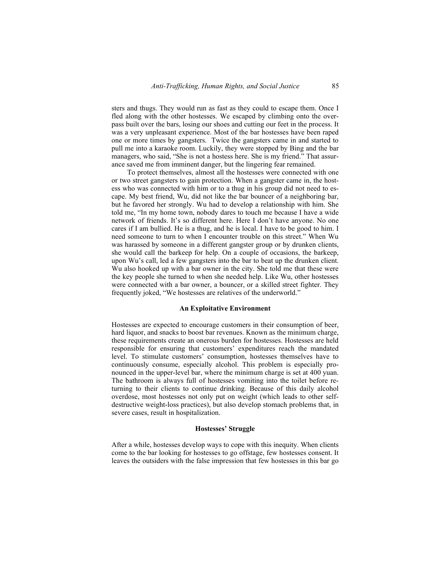sters and thugs. They would run as fast as they could to escape them. Once I fled along with the other hostesses. We escaped by climbing onto the overpass built over the bars, losing our shoes and cutting our feet in the process. It was a very unpleasant experience. Most of the bar hostesses have been raped one or more times by gangsters. Twice the gangsters came in and started to pull me into a karaoke room. Luckily, they were stopped by Bing and the bar managers, who said, "She is not a hostess here. She is my friend." That assurance saved me from imminent danger, but the lingering fear remained.

To protect themselves, almost all the hostesses were connected with one or two street gangsters to gain protection. When a gangster came in, the hostess who was connected with him or to a thug in his group did not need to escape. My best friend, Wu, did not like the bar bouncer of a neighboring bar, but he favored her strongly. Wu had to develop a relationship with him. She told me, "In my home town, nobody dares to touch me because I have a wide network of friends. It's so different here. Here I don't have anyone. No one cares if I am bullied. He is a thug, and he is local. I have to be good to him. I need someone to turn to when I encounter trouble on this street." When Wu was harassed by someone in a different gangster group or by drunken clients, she would call the barkeep for help. On a couple of occasions, the barkeep, upon Wu's call, led a few gangsters into the bar to beat up the drunken client. Wu also hooked up with a bar owner in the city. She told me that these were the key people she turned to when she needed help. Like Wu, other hostesses were connected with a bar owner, a bouncer, or a skilled street fighter. They frequently joked, "We hostesses are relatives of the underworld."

#### **An Exploitative Environment**

Hostesses are expected to encourage customers in their consumption of beer, hard liquor, and snacks to boost bar revenues. Known as the minimum charge, these requirements create an onerous burden for hostesses. Hostesses are held responsible for ensuring that customers' expenditures reach the mandated level. To stimulate customers' consumption, hostesses themselves have to continuously consume, especially alcohol. This problem is especially pronounced in the upper-level bar, where the minimum charge is set at 400 yuan. The bathroom is always full of hostesses vomiting into the toilet before returning to their clients to continue drinking. Because of this daily alcohol overdose, most hostesses not only put on weight (which leads to other selfdestructive weight-loss practices), but also develop stomach problems that, in severe cases, result in hospitalization.

#### **Hostesses' Struggle**

After a while, hostesses develop ways to cope with this inequity. When clients come to the bar looking for hostesses to go offstage, few hostesses consent. It leaves the outsiders with the false impression that few hostesses in this bar go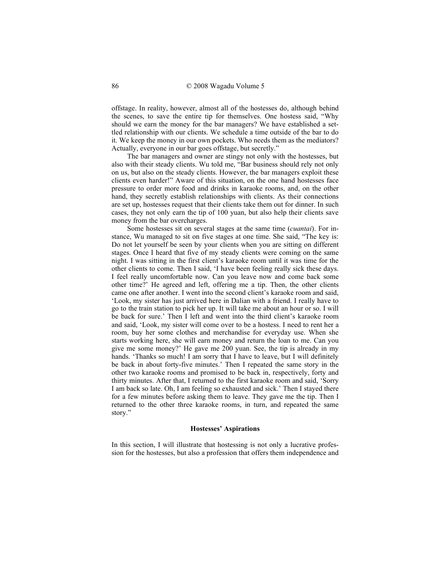offstage. In reality, however, almost all of the hostesses do, although behind the scenes, to save the entire tip for themselves. One hostess said, "Why should we earn the money for the bar managers? We have established a settled relationship with our clients. We schedule a time outside of the bar to do it. We keep the money in our own pockets. Who needs them as the mediators? Actually, everyone in our bar goes offstage, but secretly."

The bar managers and owner are stingy not only with the hostesses, but also with their steady clients. Wu told me, "Bar business should rely not only on us, but also on the steady clients. However, the bar managers exploit these clients even harder!" Aware of this situation, on the one hand hostesses face pressure to order more food and drinks in karaoke rooms, and, on the other hand, they secretly establish relationships with clients. As their connections are set up, hostesses request that their clients take them out for dinner. In such cases, they not only earn the tip of 100 yuan, but also help their clients save money from the bar overcharges.

Some hostesses sit on several stages at the same time (*cuantai*). For instance, Wu managed to sit on five stages at one time. She said, "The key is: Do not let yourself be seen by your clients when you are sitting on different stages. Once I heard that five of my steady clients were coming on the same night. I was sitting in the first client's karaoke room until it was time for the other clients to come. Then I said, 'I have been feeling really sick these days. I feel really uncomfortable now. Can you leave now and come back some other time?' He agreed and left, offering me a tip. Then, the other clients came one after another. I went into the second client's karaoke room and said, 'Look, my sister has just arrived here in Dalian with a friend. I really have to go to the train station to pick her up. It will take me about an hour or so. I will be back for sure.' Then I left and went into the third client's karaoke room and said, 'Look, my sister will come over to be a hostess. I need to rent her a room, buy her some clothes and merchandise for everyday use. When she starts working here, she will earn money and return the loan to me. Can you give me some money?' He gave me 200 yuan. See, the tip is already in my hands. 'Thanks so much! I am sorry that I have to leave, but I will definitely be back in about forty-five minutes.' Then I repeated the same story in the other two karaoke rooms and promised to be back in, respectively, forty and thirty minutes. After that, I returned to the first karaoke room and said, 'Sorry I am back so late. Oh, I am feeling so exhausted and sick.' Then I stayed there for a few minutes before asking them to leave. They gave me the tip. Then I returned to the other three karaoke rooms, in turn, and repeated the same story."

#### **Hostesses' Aspirations**

In this section, I will illustrate that hostessing is not only a lucrative profession for the hostesses, but also a profession that offers them independence and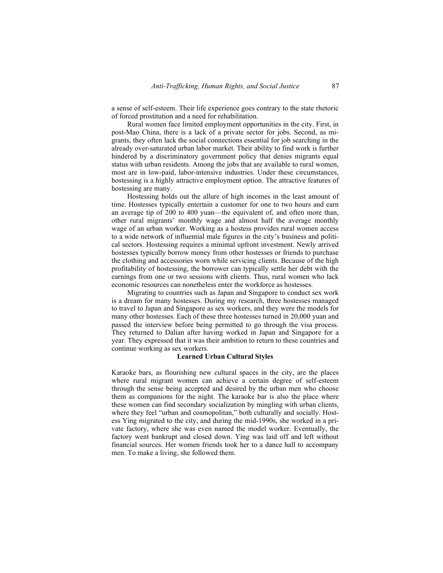a sense of self-esteem. Their life experience goes contrary to the state rhetoric of forced prostitution and a need for rehabilitation.

Rural women face limited employment opportunities in the city. First, in post-Mao China, there is a lack of a private sector for jobs. Second, as migrants, they often lack the social connections essential for job searching in the already over-saturated urban labor market. Their ability to find work is further hindered by a discriminatory government policy that denies migrants equal status with urban residents. Among the jobs that are available to rural women, most are in low-paid, labor-intensive industries. Under these circumstances, hostessing is a highly attractive employment option. The attractive features of hostessing are many.

Hostessing holds out the allure of high incomes in the least amount of time. Hostesses typically entertain a customer for one to two hours and earn an average tip of 200 to 400 yuan—the equivalent of, and often more than, other rural migrants' monthly wage and almost half the average monthly wage of an urban worker. Working as a hostess provides rural women access to a wide network of influential male figures in the city's business and political sectors. Hostessing requires a minimal upfront investment. Newly arrived hostesses typically borrow money from other hostesses or friends to purchase the clothing and accessories worn while servicing clients. Because of the high profitability of hostessing, the borrower can typically settle her debt with the earnings from one or two sessions with clients. Thus, rural women who lack economic resources can nonetheless enter the workforce as hostesses.

Migrating to countries such as Japan and Singapore to conduct sex work is a dream for many hostesses. During my research, three hostesses managed to travel to Japan and Singapore as sex workers, and they were the models for many other hostesses. Each of these three hostesses turned in 20,000 yuan and passed the interview before being permitted to go through the visa process. They returned to Dalian after having worked in Japan and Singapore for a year. They expressed that it was their ambition to return to these countries and continue working as sex workers.

## **Learned Urban Cultural Styles**

Karaoke bars, as flourishing new cultural spaces in the city, are the places where rural migrant women can achieve a certain degree of self-esteem through the sense being accepted and desired by the urban men who choose them as companions for the night. The karaoke bar is also the place where these women can find secondary socialization by mingling with urban clients, where they feel "urban and cosmopolitan," both culturally and socially. Hostess Ying migrated to the city, and during the mid-1990s, she worked in a private factory, where she was even named the model worker. Eventually, the factory went bankrupt and closed down. Ying was laid off and left without financial sources. Her women friends took her to a dance hall to accompany men. To make a living, she followed them.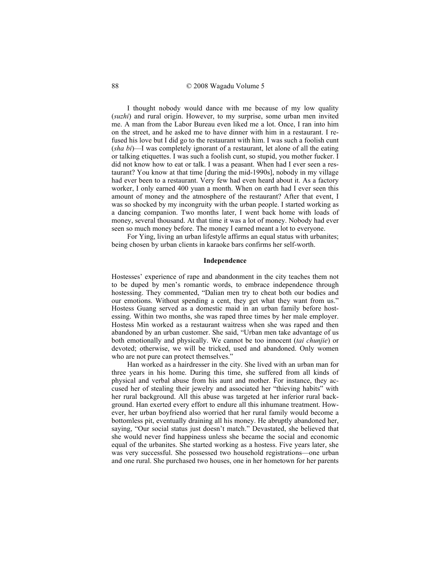88 © 2008 Wagadu Volume 5

I thought nobody would dance with me because of my low quality (*suzhi*) and rural origin. However, to my surprise, some urban men invited me. A man from the Labor Bureau even liked me a lot. Once, I ran into him on the street, and he asked me to have dinner with him in a restaurant. I refused his love but I did go to the restaurant with him. I was such a foolish cunt (*sha bi*)—I was completely ignorant of a restaurant, let alone of all the eating or talking etiquettes. I was such a foolish cunt, so stupid, you mother fucker. I did not know how to eat or talk. I was a peasant. When had I ever seen a restaurant? You know at that time [during the mid-1990s], nobody in my village had ever been to a restaurant. Very few had even heard about it. As a factory worker, I only earned 400 yuan a month. When on earth had I ever seen this amount of money and the atmosphere of the restaurant? After that event, I was so shocked by my incongruity with the urban people. I started working as a dancing companion. Two months later, I went back home with loads of money, several thousand. At that time it was a lot of money. Nobody had ever seen so much money before. The money I earned meant a lot to everyone.

For Ying, living an urban lifestyle affirms an equal status with urbanites; being chosen by urban clients in karaoke bars confirms her self-worth.

#### **Independence**

Hostesses' experience of rape and abandonment in the city teaches them not to be duped by men's romantic words, to embrace independence through hostessing. They commented, "Dalian men try to cheat both our bodies and our emotions. Without spending a cent, they get what they want from us." Hostess Guang served as a domestic maid in an urban family before hostessing. Within two months, she was raped three times by her male employer. Hostess Min worked as a restaurant waitress when she was raped and then abandoned by an urban customer. She said, "Urban men take advantage of us both emotionally and physically. We cannot be too innocent (*tai chunjie*) or devoted; otherwise, we will be tricked, used and abandoned. Only women who are not pure can protect themselves."

Han worked as a hairdresser in the city. She lived with an urban man for three years in his home. During this time, she suffered from all kinds of physical and verbal abuse from his aunt and mother. For instance, they accused her of stealing their jewelry and associated her "thieving habits" with her rural background. All this abuse was targeted at her inferior rural background. Han exerted every effort to endure all this inhumane treatment. However, her urban boyfriend also worried that her rural family would become a bottomless pit, eventually draining all his money. He abruptly abandoned her, saying, "Our social status just doesn't match." Devastated, she believed that she would never find happiness unless she became the social and economic equal of the urbanites. She started working as a hostess. Five years later, she was very successful. She possessed two household registrations—one urban and one rural. She purchased two houses, one in her hometown for her parents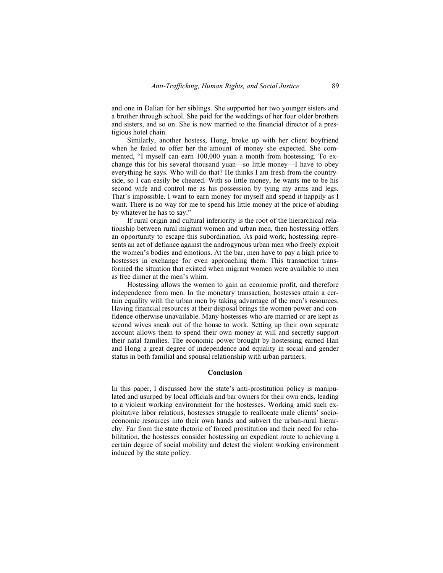and one in Dalian for her siblings. She supported her two younger sisters and a brother through school. She paid for the weddings of her four older brothers and sisters, and so on. She is now married to the financial director of a prestigious hotel chain.

Similarly, another hostess, Hong, broke up with her client boyfriend when he failed to offer her the amount of money she expected. She commented, "I myself can earn 100,000 yuan a month from hostessing. To exchange this for his several thousand yuan—so little money—I have to obey everything he says. Who will do that? He thinks I am fresh from the countryside, so I can easily be cheated. With so little money, he wants me to be his second wife and control me as his possession by tying my arms and legs. That's impossible. I want to earn money for myself and spend it happily as I want. There is no way for me to spend his little money at the price of abiding by whatever he has to say."

If rural origin and cultural inferiority is the root of the hierarchical relationship between rural migrant women and urban men, then hostessing offers an opportunity to escape this subordination. As paid work, hostessing represents an act of defiance against the androgynous urban men who freely exploit the women's bodies and emotions. At the bar, men have to pay a high price to hostesses in exchange for even approaching them. This transaction transformed the situation that existed when migrant women were available to men as free dinner at the men's whim.

Hostessing allows the women to gain an economic profit, and therefore independence from men. In the monetary transaction, hostesses attain a certain equality with the urban men by taking advantage of the men's resources. Having financial resources at their disposal brings the women power and confidence otherwise unavailable. Many hostesses who are married or are kept as second wives sneak out of the house to work. Setting up their own separate account allows them to spend their own money at will and secretly support their natal families. The economic power brought by hostessing earned Han and Hong a great degree of independence and equality in social and gender status in both familial and spousal relationship with urban partners.

#### **Conclusion**

In this paper, I discussed how the state's anti-prostitution policy is manipulated and usurped by local officials and bar owners for their own ends, leading to a violent working environment for the hostesses. Working amid such exploitative labor relations, hostesses struggle to reallocate male clients' socioeconomic resources into their own hands and subvert the urban-rural hierarchy. Far from the state rhetoric of forced prostitution and their need for rehabilitation, the hostesses consider hostessing an expedient route to achieving a certain degree of social mobility and detest the violent working environment induced by the state policy.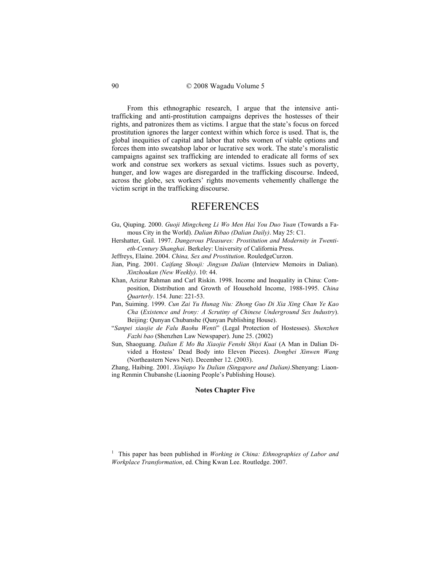From this ethnographic research, I argue that the intensive antitrafficking and anti-prostitution campaigns deprives the hostesses of their rights, and patronizes them as victims. I argue that the state's focus on forced prostitution ignores the larger context within which force is used. That is, the global inequities of capital and labor that robs women of viable options and forces them into sweatshop labor or lucrative sex work. The state's moralistic campaigns against sex trafficking are intended to eradicate all forms of sex work and construe sex workers as sexual victims. Issues such as poverty, hunger, and low wages are disregarded in the trafficking discourse. Indeed, across the globe, sex workers' rights movements vehemently challenge the victim script in the trafficking discourse.

# REFERENCES

- Gu, Qiuping. 2000. *Guoji Mingcheng Li Wo Men Hai You Duo Yuan* (Towards a Famous City in the World). *Dalian Ribao (Dalian Daily)*. May 25: C1.
- Hershatter, Gail. 1997. *Dangerous Pleasures: Prostitution and Modernity in Twentieth-Century Shanghai*. Berkeley: University of California Press.
- Jeffreys, Elaine. 2004. *China, Sex and Prostitution*. RouledgeCurzon.
- Jian, Ping. 2001. *Caifang Shouji: Jingyan Dalian* (Interview Memoirs in Dalian). *Xinzhoukan (New Weekly)*. 10: 44.
- Khan, Azizur Rahman and Carl Riskin. 1998. Income and Inequality in China: Composition, Distribution and Growth of Household Income, 1988-1995. *China Quarterly*. 154. June: 221-53.
- Pan, Suiming. 1999. *Cun Zai Yu Hunag Niu: Zhong Guo Di Xia Xing Chan Ye Kao Cha* (*Existence and Irony: A Scrutiny of Chinese Underground Sex Industry*). Beijing: Qunyan Chubanshe (Qunyan Publishing House).
- "*Sanpei xiaojie de Falu Baohu Wenti*" (Legal Protection of Hostesses). *Shenzhen Fazhi bao* (Shenzhen Law Newspaper). June 25. (2002)
- Sun, Shaoguang. *Dalian E Mo Ba Xiaojie Fenshi Shiyi Kuai* (A Man in Dalian Divided a Hostess' Dead Body into Eleven Pieces). *Dongbei Xinwen Wang* (Northeastern News Net). December 12. (2003).

Zhang, Haibing. 2001. *Xinjiapo Yu Dalian (Singapore and Dalian)*.Shenyang: Liaoning Renmin Chubanshe (Liaoning People's Publishing House).

#### **Notes Chapter Five**

<sup>1</sup> This paper has been published in *Working in China: Ethnographies of Labor and Workplace Transformation*, ed. Ching Kwan Lee. Routledge. 2007.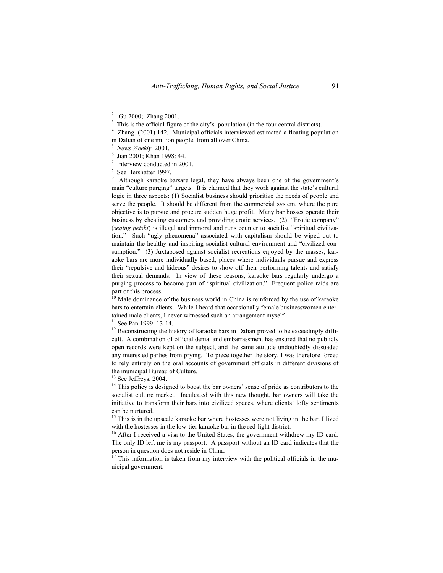- <sup>3</sup> This is the official figure of the city's population (in the four central districts).
- <sup>4</sup> Zhang. (2001) 142. Municipal officials interviewed estimated a floating population in Dalian of one million people, from all over China.
- <sup>5</sup> *News Weekly,* 2001.
- <sup>6</sup> Jian 2001; Khan 1998: 44.
- <sup>7</sup> Interview conducted in 2001.
- <sup>8</sup> See Hershatter 1997.

Although karaoke barsare legal, they have always been one of the government's main "culture purging" targets. It is claimed that they work against the state's cultural logic in three aspects: (1) Socialist business should prioritize the needs of people and serve the people. It should be different from the commercial system, where the pure objective is to pursue and procure sudden huge profit. Many bar bosses operate their business by cheating customers and providing erotic services. (2) "Erotic company" (*seqing peishi*) is illegal and immoral and runs counter to socialist "spiritual civilization." Such "ugly phenomena" associated with capitalism should be wiped out to maintain the healthy and inspiring socialist cultural environment and "civilized consumption." (3) Juxtaposed against socialist recreations enjoyed by the masses, karaoke bars are more individually based, places where individuals pursue and express their "repulsive and hideous" desires to show off their performing talents and satisfy their sexual demands. In view of these reasons, karaoke bars regularly undergo a purging process to become part of "spiritual civilization." Frequent police raids are part of this process.

 $10$  Male dominance of the business world in China is reinforced by the use of karaoke bars to entertain clients. While I heard that occasionally female businesswomen entertained male clients, I never witnessed such an arrangement myself.

 $11$  See Pan 1999: 13-14.

 $12$  Reconstructing the history of karaoke bars in Dalian proved to be exceedingly difficult. A combination of official denial and embarrassment has ensured that no publicly open records were kept on the subject, and the same attitude undoubtedly dissuaded any interested parties from prying. To piece together the story, I was therefore forced to rely entirely on the oral accounts of government officials in different divisions of the municipal Bureau of Culture.

<sup>13</sup> See Jeffreys, 2004.

<sup>14</sup> This policy is designed to boost the bar owners' sense of pride as contributors to the socialist culture market. Inculcated with this new thought, bar owners will take the initiative to transform their bars into civilized spaces, where clients' lofty sentiments can be nurtured.

 $15$  This is in the upscale karaoke bar where hostesses were not living in the bar. I lived with the hostesses in the low-tier karaoke bar in the red-light district.

<sup>16</sup> After I received a visa to the United States, the government withdrew my ID card. The only ID left me is my passport. A passport without an ID card indicates that the person in question does not reside in China.

 $17$  This information is taken from my interview with the political officials in the municipal government.

<sup>2</sup> Gu 2000; Zhang 2001.